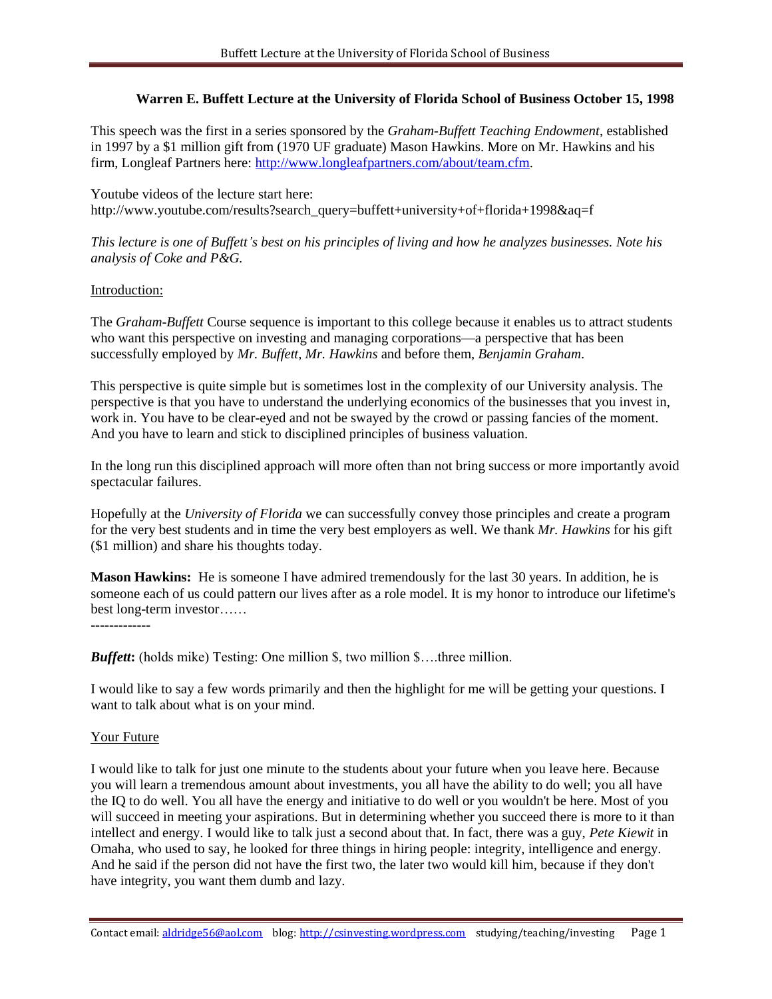### **Warren E. Buffett Lecture at the University of Florida School of Business October 15, 1998**

This speech was the first in a series sponsored by the *Graham-Buffett Teaching Endowment*, established in 1997 by a \$1 million gift from (1970 UF graduate) Mason Hawkins. More on Mr. Hawkins and his firm, Longleaf Partners here: [http://www.longleafpartners.com/about/team.cfm.](http://www.longleafpartners.com/about/team.cfm)

Youtube videos of the lecture start here: http://www.youtube.com/results?search\_query=buffett+university+of+florida+1998&aq=f

*This lecture is one of Buffett's best on his principles of living and how he analyzes businesses. Note his analysis of Coke and P&G.*

#### Introduction:

The *Graham*-*Buffett* Course sequence is important to this college because it enables us to attract students who want this perspective on investing and managing corporations—a perspective that has been successfully employed by *Mr. Buffett, Mr. Hawkins* and before them, *Benjamin Graham*.

This perspective is quite simple but is sometimes lost in the complexity of our University analysis. The perspective is that you have to understand the underlying economics of the businesses that you invest in, work in. You have to be clear-eyed and not be swayed by the crowd or passing fancies of the moment. And you have to learn and stick to disciplined principles of business valuation.

In the long run this disciplined approach will more often than not bring success or more importantly avoid spectacular failures.

Hopefully at the *University of Florida* we can successfully convey those principles and create a program for the very best students and in time the very best employers as well. We thank *Mr. Hawkins* for his gift (\$1 million) and share his thoughts today.

**Mason Hawkins:** He is someone I have admired tremendously for the last 30 years. In addition, he is someone each of us could pattern our lives after as a role model. It is my honor to introduce our lifetime's best long-term investor……

*Buffett***:** (holds mike) Testing: One million \$, two million \$….three million.

I would like to say a few words primarily and then the highlight for me will be getting your questions. I want to talk about what is on your mind.

#### Your Future

I would like to talk for just one minute to the students about your future when you leave here. Because you will learn a tremendous amount about investments, you all have the ability to do well; you all have the IQ to do well. You all have the energy and initiative to do well or you wouldn't be here. Most of you will succeed in meeting your aspirations. But in determining whether you succeed there is more to it than intellect and energy. I would like to talk just a second about that. In fact, there was a guy, *Pete Kiewit* in Omaha, who used to say, he looked for three things in hiring people: integrity, intelligence and energy. And he said if the person did not have the first two, the later two would kill him, because if they don't have integrity, you want them dumb and lazy.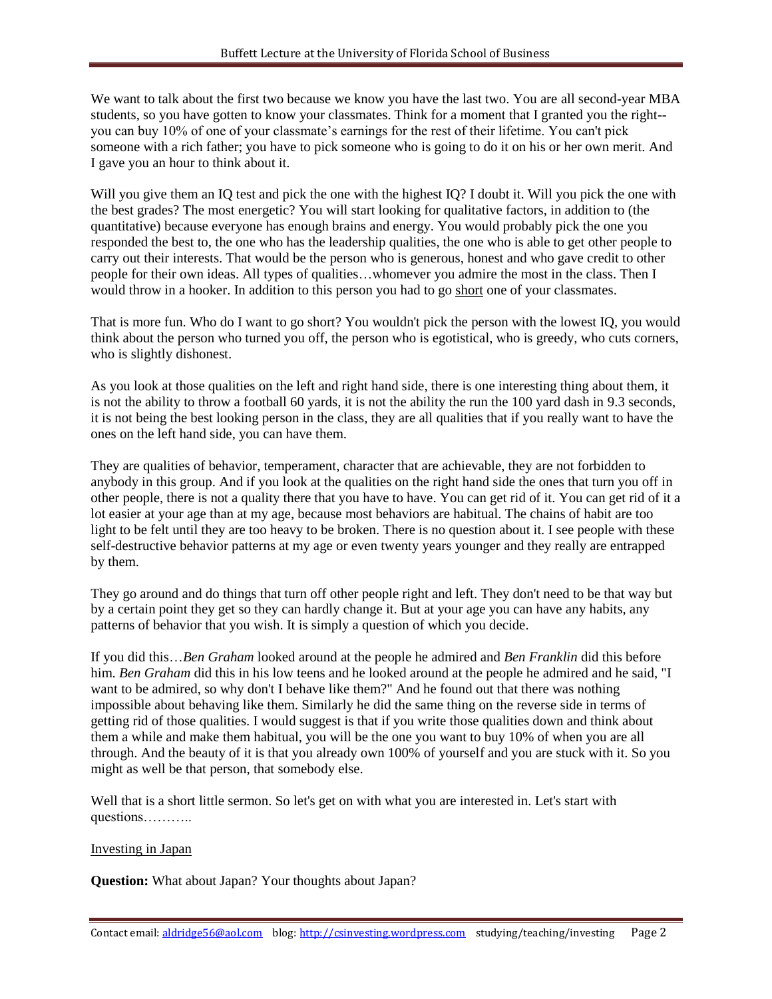We want to talk about the first two because we know you have the last two. You are all second-year MBA students, so you have gotten to know your classmates. Think for a moment that I granted you the right- you can buy 10% of one of your classmate's earnings for the rest of their lifetime. You can't pick someone with a rich father; you have to pick someone who is going to do it on his or her own merit. And I gave you an hour to think about it.

Will you give them an IQ test and pick the one with the highest IQ? I doubt it. Will you pick the one with the best grades? The most energetic? You will start looking for qualitative factors, in addition to (the quantitative) because everyone has enough brains and energy. You would probably pick the one you responded the best to, the one who has the leadership qualities, the one who is able to get other people to carry out their interests. That would be the person who is generous, honest and who gave credit to other people for their own ideas. All types of qualities…whomever you admire the most in the class. Then I would throw in a hooker. In addition to this person you had to go short one of your classmates.

That is more fun. Who do I want to go short? You wouldn't pick the person with the lowest IQ, you would think about the person who turned you off, the person who is egotistical, who is greedy, who cuts corners, who is slightly dishonest.

As you look at those qualities on the left and right hand side, there is one interesting thing about them, it is not the ability to throw a football 60 yards, it is not the ability the run the 100 yard dash in 9.3 seconds, it is not being the best looking person in the class, they are all qualities that if you really want to have the ones on the left hand side, you can have them.

They are qualities of behavior, temperament, character that are achievable, they are not forbidden to anybody in this group. And if you look at the qualities on the right hand side the ones that turn you off in other people, there is not a quality there that you have to have. You can get rid of it. You can get rid of it a lot easier at your age than at my age, because most behaviors are habitual. The chains of habit are too light to be felt until they are too heavy to be broken. There is no question about it. I see people with these self-destructive behavior patterns at my age or even twenty years younger and they really are entrapped by them.

They go around and do things that turn off other people right and left. They don't need to be that way but by a certain point they get so they can hardly change it. But at your age you can have any habits, any patterns of behavior that you wish. It is simply a question of which you decide.

If you did this…*Ben Graham* looked around at the people he admired and *Ben Franklin* did this before him. *Ben Graham* did this in his low teens and he looked around at the people he admired and he said, "I want to be admired, so why don't I behave like them?" And he found out that there was nothing impossible about behaving like them. Similarly he did the same thing on the reverse side in terms of getting rid of those qualities. I would suggest is that if you write those qualities down and think about them a while and make them habitual, you will be the one you want to buy 10% of when you are all through. And the beauty of it is that you already own 100% of yourself and you are stuck with it. So you might as well be that person, that somebody else.

Well that is a short little sermon. So let's get on with what you are interested in. Let's start with questions………..

#### Investing in Japan

**Question:** What about Japan? Your thoughts about Japan?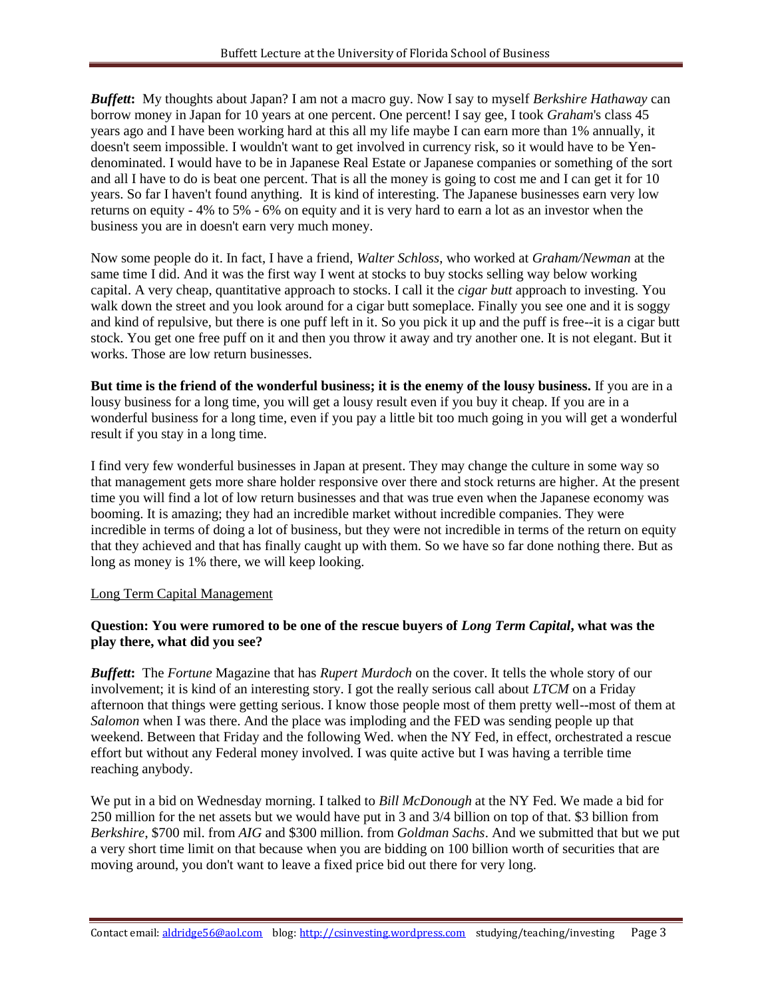*Buffett***:** My thoughts about Japan? I am not a macro guy. Now I say to myself *Berkshire Hathaway* can borrow money in Japan for 10 years at one percent. One percent! I say gee, I took *Graham*'s class 45 years ago and I have been working hard at this all my life maybe I can earn more than 1% annually, it doesn't seem impossible. I wouldn't want to get involved in currency risk, so it would have to be Yendenominated. I would have to be in Japanese Real Estate or Japanese companies or something of the sort and all I have to do is beat one percent. That is all the money is going to cost me and I can get it for 10 years. So far I haven't found anything. It is kind of interesting. The Japanese businesses earn very low returns on equity - 4% to 5% - 6% on equity and it is very hard to earn a lot as an investor when the business you are in doesn't earn very much money.

Now some people do it. In fact, I have a friend, *Walter Schloss*, who worked at *Graham/Newman* at the same time I did. And it was the first way I went at stocks to buy stocks selling way below working capital. A very cheap, quantitative approach to stocks. I call it the *cigar butt* approach to investing. You walk down the street and you look around for a cigar butt someplace. Finally you see one and it is soggy and kind of repulsive, but there is one puff left in it. So you pick it up and the puff is free--it is a cigar butt stock. You get one free puff on it and then you throw it away and try another one. It is not elegant. But it works. Those are low return businesses.

**But time is the friend of the wonderful business; it is the enemy of the lousy business.** If you are in a lousy business for a long time, you will get a lousy result even if you buy it cheap. If you are in a wonderful business for a long time, even if you pay a little bit too much going in you will get a wonderful result if you stay in a long time.

I find very few wonderful businesses in Japan at present. They may change the culture in some way so that management gets more share holder responsive over there and stock returns are higher. At the present time you will find a lot of low return businesses and that was true even when the Japanese economy was booming. It is amazing; they had an incredible market without incredible companies. They were incredible in terms of doing a lot of business, but they were not incredible in terms of the return on equity that they achieved and that has finally caught up with them. So we have so far done nothing there. But as long as money is 1% there, we will keep looking.

#### Long Term Capital Management

### **Question: You were rumored to be one of the rescue buyers of** *Long Term Capital***, what was the play there, what did you see?**

*Buffett***:** The *Fortune* Magazine that has *Rupert Murdoch* on the cover. It tells the whole story of our involvement; it is kind of an interesting story. I got the really serious call about *LTCM* on a Friday afternoon that things were getting serious. I know those people most of them pretty well--most of them at *Salomon* when I was there. And the place was imploding and the FED was sending people up that weekend. Between that Friday and the following Wed. when the NY Fed, in effect, orchestrated a rescue effort but without any Federal money involved. I was quite active but I was having a terrible time reaching anybody.

We put in a bid on Wednesday morning. I talked to *Bill McDonough* at the NY Fed. We made a bid for 250 million for the net assets but we would have put in 3 and 3/4 billion on top of that. \$3 billion from *Berkshire*, \$700 mil. from *AIG* and \$300 million. from *Goldman Sachs*. And we submitted that but we put a very short time limit on that because when you are bidding on 100 billion worth of securities that are moving around, you don't want to leave a fixed price bid out there for very long.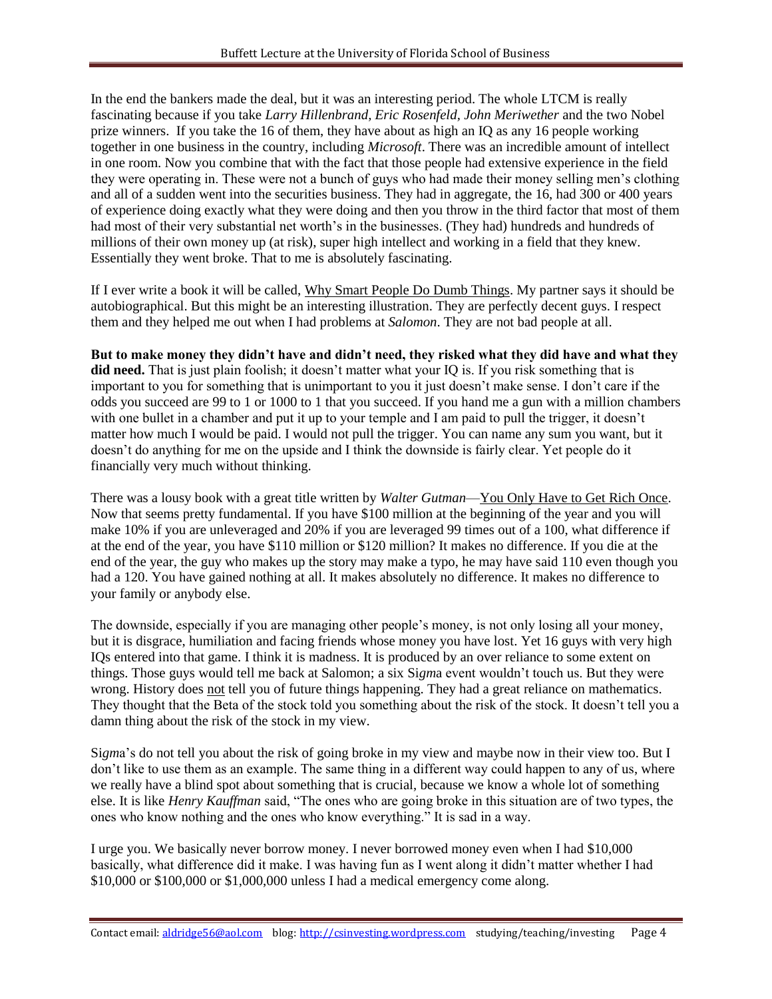In the end the bankers made the deal, but it was an interesting period. The whole LTCM is really fascinating because if you take *Larry Hillenbrand, Eric Rosenfeld, John Meriwether* and the two Nobel prize winners. If you take the 16 of them, they have about as high an IQ as any 16 people working together in one business in the country, including *Microsoft*. There was an incredible amount of intellect in one room. Now you combine that with the fact that those people had extensive experience in the field they were operating in. These were not a bunch of guys who had made their money selling men's clothing and all of a sudden went into the securities business. They had in aggregate, the 16, had 300 or 400 years of experience doing exactly what they were doing and then you throw in the third factor that most of them had most of their very substantial net worth's in the businesses. (They had) hundreds and hundreds of millions of their own money up (at risk), super high intellect and working in a field that they knew. Essentially they went broke. That to me is absolutely fascinating.

If I ever write a book it will be called, Why Smart People Do Dumb Things. My partner says it should be autobiographical. But this might be an interesting illustration. They are perfectly decent guys. I respect them and they helped me out when I had problems at *Salomon*. They are not bad people at all.

**But to make money they didn't have and didn't need, they risked what they did have and what they did need.** That is just plain foolish; it doesn't matter what your IQ is. If you risk something that is important to you for something that is unimportant to you it just doesn't make sense. I don't care if the odds you succeed are 99 to 1 or 1000 to 1 that you succeed. If you hand me a gun with a million chambers with one bullet in a chamber and put it up to your temple and I am paid to pull the trigger, it doesn't matter how much I would be paid. I would not pull the trigger. You can name any sum you want, but it doesn't do anything for me on the upside and I think the downside is fairly clear. Yet people do it financially very much without thinking.

There was a lousy book with a great title written by *Walter Gutman*—You Only Have to Get Rich Once. Now that seems pretty fundamental. If you have \$100 million at the beginning of the year and you will make 10% if you are unleveraged and 20% if you are leveraged 99 times out of a 100, what difference if at the end of the year, you have \$110 million or \$120 million? It makes no difference. If you die at the end of the year, the guy who makes up the story may make a typo, he may have said 110 even though you had a 120. You have gained nothing at all. It makes absolutely no difference. It makes no difference to your family or anybody else.

The downside, especially if you are managing other people's money, is not only losing all your money, but it is disgrace, humiliation and facing friends whose money you have lost. Yet 16 guys with very high IQs entered into that game. I think it is madness. It is produced by an over reliance to some extent on things. Those guys would tell me back at Salomon; a six Si*gm*a event wouldn't touch us. But they were wrong. History does not tell you of future things happening. They had a great reliance on mathematics. They thought that the Beta of the stock told you something about the risk of the stock. It doesn't tell you a damn thing about the risk of the stock in my view.

Si*gm*a's do not tell you about the risk of going broke in my view and maybe now in their view too. But I don't like to use them as an example. The same thing in a different way could happen to any of us, where we really have a blind spot about something that is crucial, because we know a whole lot of something else. It is like *Henry Kauffman* said, "The ones who are going broke in this situation are of two types, the ones who know nothing and the ones who know everything." It is sad in a way.

I urge you. We basically never borrow money. I never borrowed money even when I had \$10,000 basically, what difference did it make. I was having fun as I went along it didn't matter whether I had \$10,000 or \$100,000 or \$1,000,000 unless I had a medical emergency come along.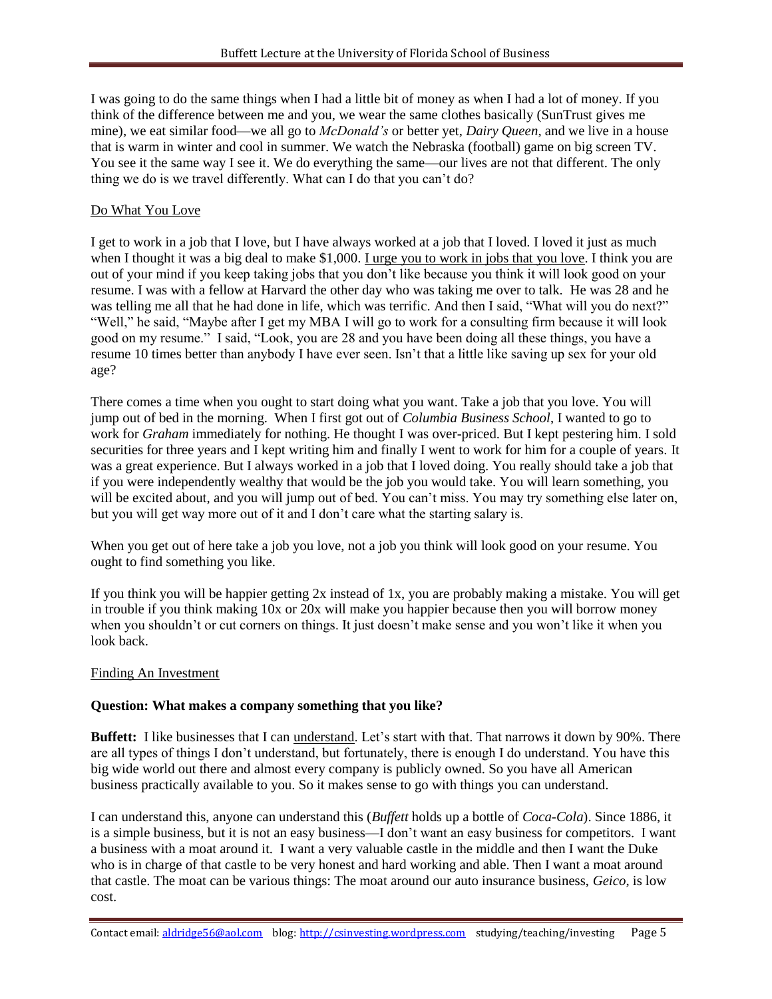I was going to do the same things when I had a little bit of money as when I had a lot of money. If you think of the difference between me and you, we wear the same clothes basically (SunTrust gives me mine), we eat similar food—we all go to *McDonald's* or better yet, *Dairy Queen*, and we live in a house that is warm in winter and cool in summer. We watch the Nebraska (football) game on big screen TV. You see it the same way I see it. We do everything the same—our lives are not that different. The only thing we do is we travel differently. What can I do that you can't do?

#### Do What You Love

I get to work in a job that I love, but I have always worked at a job that I loved. I loved it just as much when I thought it was a big deal to make \$1,000. I urge you to work in jobs that you love. I think you are out of your mind if you keep taking jobs that you don't like because you think it will look good on your resume. I was with a fellow at Harvard the other day who was taking me over to talk. He was 28 and he was telling me all that he had done in life, which was terrific. And then I said, "What will you do next?" "Well," he said, "Maybe after I get my MBA I will go to work for a consulting firm because it will look good on my resume." I said, "Look, you are 28 and you have been doing all these things, you have a resume 10 times better than anybody I have ever seen. Isn't that a little like saving up sex for your old age?

There comes a time when you ought to start doing what you want. Take a job that you love. You will jump out of bed in the morning. When I first got out of *Columbia Business School*, I wanted to go to work for *Graham* immediately for nothing. He thought I was over-priced. But I kept pestering him. I sold securities for three years and I kept writing him and finally I went to work for him for a couple of years. It was a great experience. But I always worked in a job that I loved doing. You really should take a job that if you were independently wealthy that would be the job you would take. You will learn something, you will be excited about, and you will jump out of bed. You can't miss. You may try something else later on, but you will get way more out of it and I don't care what the starting salary is.

When you get out of here take a job you love, not a job you think will look good on your resume. You ought to find something you like.

If you think you will be happier getting 2x instead of 1x, you are probably making a mistake. You will get in trouble if you think making 10x or 20x will make you happier because then you will borrow money when you shouldn't or cut corners on things. It just doesn't make sense and you won't like it when you look back.

#### Finding An Investment

#### **Question: What makes a company something that you like?**

**Buffett:** I like businesses that I can understand. Let's start with that. That narrows it down by 90%. There are all types of things I don't understand, but fortunately, there is enough I do understand. You have this big wide world out there and almost every company is publicly owned. So you have all American business practically available to you. So it makes sense to go with things you can understand.

I can understand this, anyone can understand this (*Buffett* holds up a bottle of *Coca-Cola*). Since 1886, it is a simple business, but it is not an easy business—I don't want an easy business for competitors. I want a business with a moat around it. I want a very valuable castle in the middle and then I want the Duke who is in charge of that castle to be very honest and hard working and able. Then I want a moat around that castle. The moat can be various things: The moat around our auto insurance business, *Geico*, is low cost.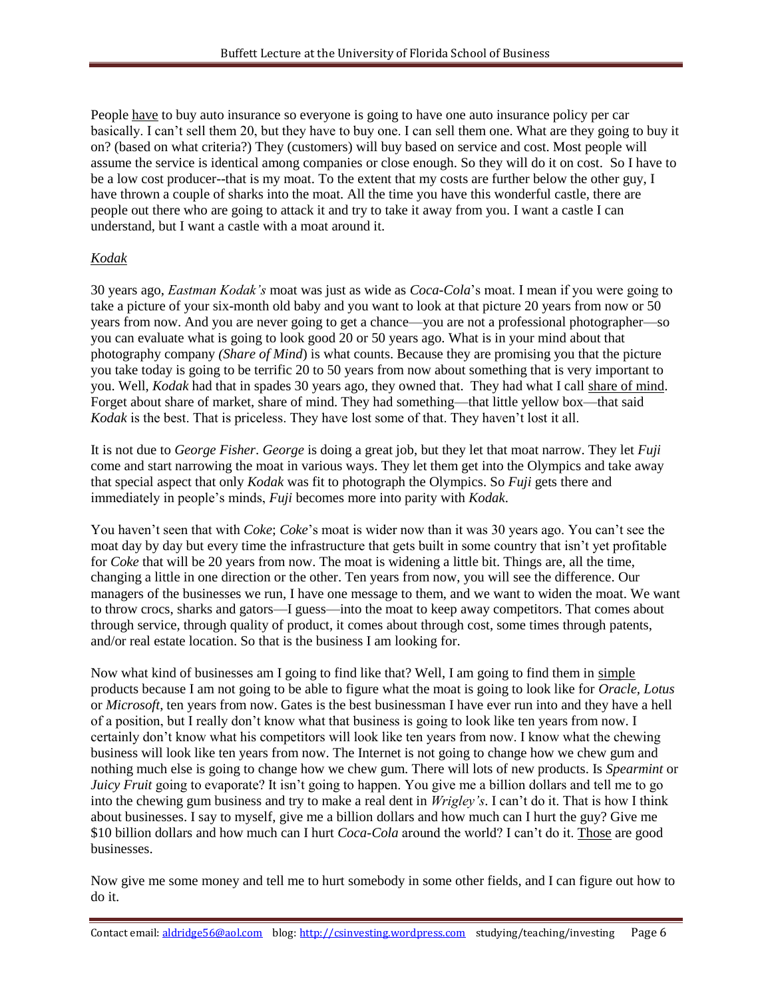People have to buy auto insurance so everyone is going to have one auto insurance policy per car basically. I can't sell them 20, but they have to buy one. I can sell them one. What are they going to buy it on? (based on what criteria?) They (customers) will buy based on service and cost. Most people will assume the service is identical among companies or close enough. So they will do it on cost. So I have to be a low cost producer--that is my moat. To the extent that my costs are further below the other guy, I have thrown a couple of sharks into the moat. All the time you have this wonderful castle, there are people out there who are going to attack it and try to take it away from you. I want a castle I can understand, but I want a castle with a moat around it.

# *Kodak*

30 years ago, *Eastman Kodak's* moat was just as wide as *Coca-Cola*'s moat. I mean if you were going to take a picture of your six-month old baby and you want to look at that picture 20 years from now or 50 years from now. And you are never going to get a chance—you are not a professional photographer—so you can evaluate what is going to look good 20 or 50 years ago. What is in your mind about that photography company *(Share of Mind*) is what counts. Because they are promising you that the picture you take today is going to be terrific 20 to 50 years from now about something that is very important to you. Well, *Kodak* had that in spades 30 years ago, they owned that. They had what I call share of mind. Forget about share of market, share of mind. They had something—that little yellow box—that said *Kodak* is the best. That is priceless. They have lost some of that. They haven't lost it all.

It is not due to *George Fisher*. *George* is doing a great job, but they let that moat narrow. They let *Fuji* come and start narrowing the moat in various ways. They let them get into the Olympics and take away that special aspect that only *Kodak* was fit to photograph the Olympics. So *Fuji* gets there and immediately in people's minds, *Fuji* becomes more into parity with *Kodak*.

You haven't seen that with *Coke*; *Coke*'s moat is wider now than it was 30 years ago. You can't see the moat day by day but every time the infrastructure that gets built in some country that isn't yet profitable for *Coke* that will be 20 years from now. The moat is widening a little bit. Things are, all the time, changing a little in one direction or the other. Ten years from now, you will see the difference. Our managers of the businesses we run, I have one message to them, and we want to widen the moat. We want to throw crocs, sharks and gators—I guess—into the moat to keep away competitors. That comes about through service, through quality of product, it comes about through cost, some times through patents, and/or real estate location. So that is the business I am looking for.

Now what kind of businesses am I going to find like that? Well, I am going to find them in simple products because I am not going to be able to figure what the moat is going to look like for *Oracle, Lotus* or *Microsoft*, ten years from now. Gates is the best businessman I have ever run into and they have a hell of a position, but I really don't know what that business is going to look like ten years from now. I certainly don't know what his competitors will look like ten years from now. I know what the chewing business will look like ten years from now. The Internet is not going to change how we chew gum and nothing much else is going to change how we chew gum. There will lots of new products. Is *Spearmint* or *Juicy Fruit* going to evaporate? It isn't going to happen. You give me a billion dollars and tell me to go into the chewing gum business and try to make a real dent in *Wrigley's*. I can't do it. That is how I think about businesses. I say to myself, give me a billion dollars and how much can I hurt the guy? Give me \$10 billion dollars and how much can I hurt *Coca-Cola* around the world? I can't do it. Those are good businesses.

Now give me some money and tell me to hurt somebody in some other fields, and I can figure out how to do it.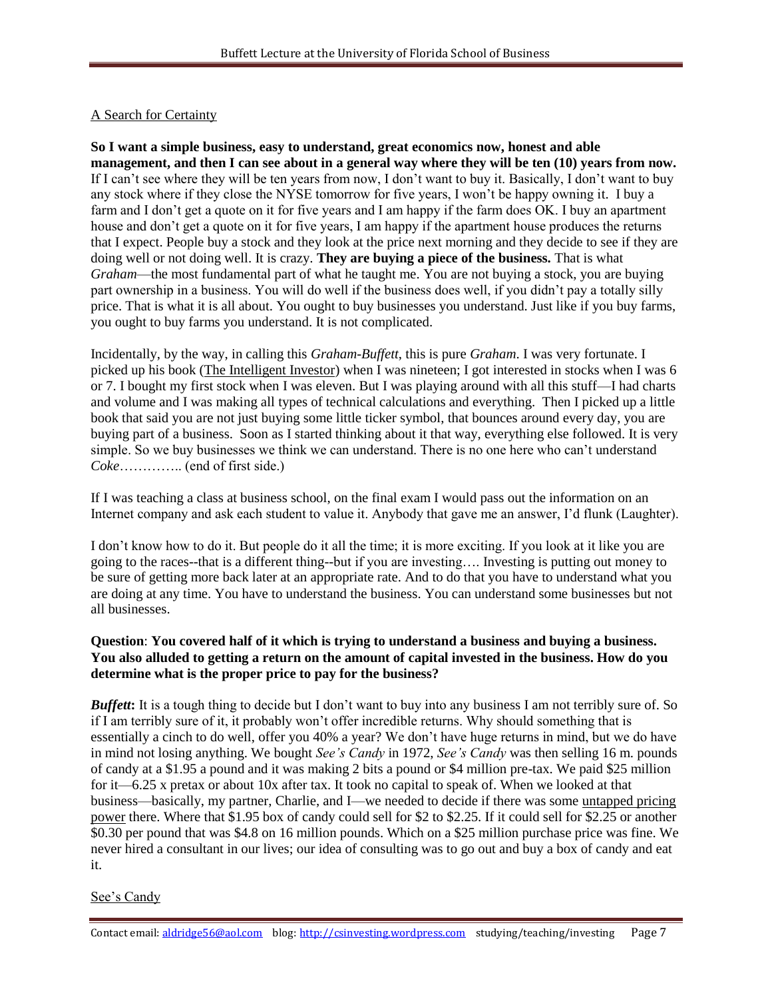# A Search for Certainty

**So I want a simple business, easy to understand, great economics now, honest and able management, and then I can see about in a general way where they will be ten (10) years from now.** If I can't see where they will be ten years from now, I don't want to buy it. Basically, I don't want to buy any stock where if they close the NYSE tomorrow for five years, I won't be happy owning it. I buy a farm and I don't get a quote on it for five years and I am happy if the farm does OK. I buy an apartment house and don't get a quote on it for five years. I am happy if the apartment house produces the returns that I expect. People buy a stock and they look at the price next morning and they decide to see if they are doing well or not doing well. It is crazy. **They are buying a piece of the business.** That is what *Graham*—the most fundamental part of what he taught me. You are not buying a stock, you are buying part ownership in a business. You will do well if the business does well, if you didn't pay a totally silly price. That is what it is all about. You ought to buy businesses you understand. Just like if you buy farms, you ought to buy farms you understand. It is not complicated.

Incidentally, by the way, in calling this *Graham*-*Buffett*, this is pure *Graham*. I was very fortunate. I picked up his book (The Intelligent Investor) when I was nineteen; I got interested in stocks when I was 6 or 7. I bought my first stock when I was eleven. But I was playing around with all this stuff—I had charts and volume and I was making all types of technical calculations and everything. Then I picked up a little book that said you are not just buying some little ticker symbol, that bounces around every day, you are buying part of a business. Soon as I started thinking about it that way, everything else followed. It is very simple. So we buy businesses we think we can understand. There is no one here who can't understand *Coke*………….. (end of first side.)

If I was teaching a class at business school, on the final exam I would pass out the information on an Internet company and ask each student to value it. Anybody that gave me an answer, I'd flunk (Laughter).

I don't know how to do it. But people do it all the time; it is more exciting. If you look at it like you are going to the races--that is a different thing--but if you are investing…. Investing is putting out money to be sure of getting more back later at an appropriate rate. And to do that you have to understand what you are doing at any time. You have to understand the business. You can understand some businesses but not all businesses.

### **Question**: **You covered half of it which is trying to understand a business and buying a business. You also alluded to getting a return on the amount of capital invested in the business. How do you determine what is the proper price to pay for the business?**

*Buffett*: It is a tough thing to decide but I don't want to buy into any business I am not terribly sure of. So if I am terribly sure of it, it probably won't offer incredible returns. Why should something that is essentially a cinch to do well, offer you 40% a year? We don't have huge returns in mind, but we do have in mind not losing anything. We bought *See's Candy* in 1972, *See's Candy* was then selling 16 m. pounds of candy at a \$1.95 a pound and it was making 2 bits a pound or \$4 million pre-tax. We paid \$25 million for it—6.25 x pretax or about 10x after tax. It took no capital to speak of. When we looked at that business—basically, my partner, Charlie, and I—we needed to decide if there was some untapped pricing power there. Where that \$1.95 box of candy could sell for \$2 to \$2.25. If it could sell for \$2.25 or another \$0.30 per pound that was \$4.8 on 16 million pounds. Which on a \$25 million purchase price was fine. We never hired a consultant in our lives; our idea of consulting was to go out and buy a box of candy and eat it.

#### See's Candy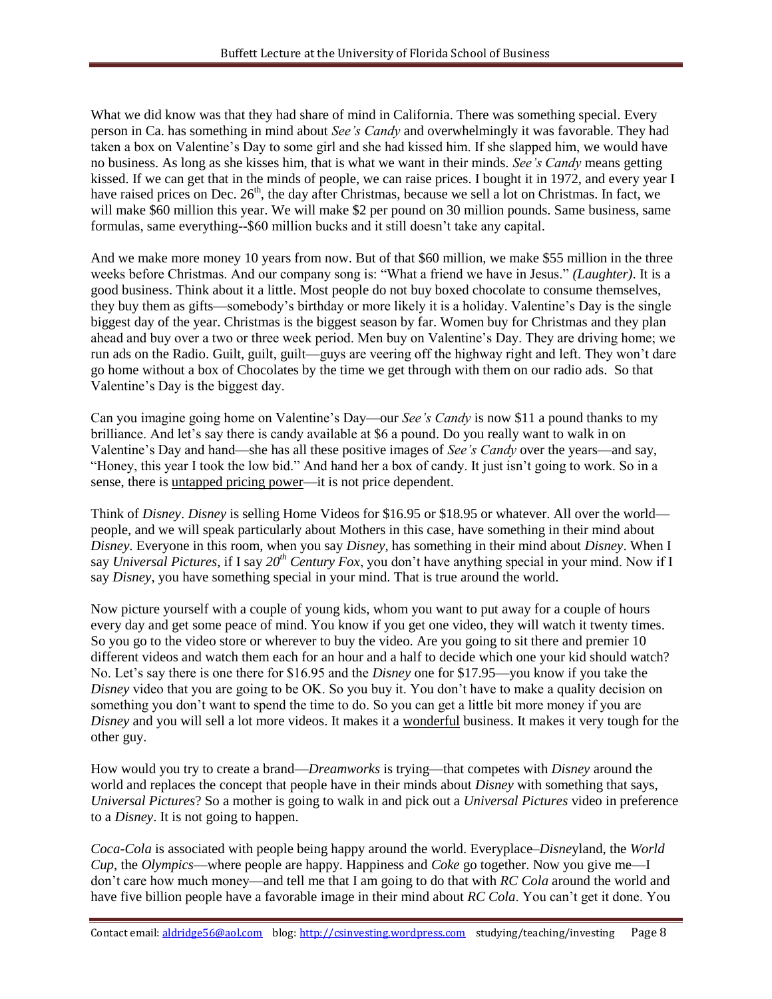What we did know was that they had share of mind in California. There was something special. Every person in Ca. has something in mind about *See's Candy* and overwhelmingly it was favorable. They had taken a box on Valentine's Day to some girl and she had kissed him. If she slapped him, we would have no business. As long as she kisses him, that is what we want in their minds. *See's Candy* means getting kissed. If we can get that in the minds of people, we can raise prices. I bought it in 1972, and every year I have raised prices on Dec. 26<sup>th</sup>, the day after Christmas, because we sell a lot on Christmas. In fact, we will make \$60 million this year. We will make \$2 per pound on 30 million pounds. Same business, same formulas, same everything--\$60 million bucks and it still doesn't take any capital.

And we make more money 10 years from now. But of that \$60 million, we make \$55 million in the three weeks before Christmas. And our company song is: "What a friend we have in Jesus." (Laughter). It is a good business. Think about it a little. Most people do not buy boxed chocolate to consume themselves, they buy them as gifts—somebody's birthday or more likely it is a holiday. Valentine's Day is the single biggest day of the year. Christmas is the biggest season by far. Women buy for Christmas and they plan ahead and buy over a two or three week period. Men buy on Valentine's Day. They are driving home; we run ads on the Radio. Guilt, guilt, guilt—guys are veering off the highway right and left. They won't dare go home without a box of Chocolates by the time we get through with them on our radio ads. So that Valentine's Day is the biggest day.

Can you imagine going home on Valentine's Day—our *See's Candy* is now \$11 a pound thanks to my brilliance. And let's say there is candy available at \$6 a pound. Do you really want to walk in on Valentine's Day and hand—she has all these positive images of *See's Candy* over the years—and say, "Honey, this year I took the low bid." And hand her a box of candy. It just isn't going to work. So in a sense, there is untapped pricing power—it is not price dependent.

Think of *Disney*. *Disney* is selling Home Videos for \$16.95 or \$18.95 or whatever. All over the world people, and we will speak particularly about Mothers in this case, have something in their mind about *Disney*. Everyone in this room, when you say *Disney,* has something in their mind about *Disney*. When I say *Universal Pictures*, if I say *20th Century Fox*, you don't have anything special in your mind. Now if I say *Disney*, you have something special in your mind. That is true around the world.

Now picture yourself with a couple of young kids, whom you want to put away for a couple of hours every day and get some peace of mind. You know if you get one video, they will watch it twenty times. So you go to the video store or wherever to buy the video. Are you going to sit there and premier 10 different videos and watch them each for an hour and a half to decide which one your kid should watch? No. Let's say there is one there for \$16.95 and the *Disney* one for \$17.95—you know if you take the *Disney* video that you are going to be OK. So you buy it. You don't have to make a quality decision on something you don't want to spend the time to do. So you can get a little bit more money if you are *Disney* and you will sell a lot more videos. It makes it a wonderful business. It makes it very tough for the other guy.

How would you try to create a brand—*Dreamworks* is trying—that competes with *Disney* around the world and replaces the concept that people have in their minds about *Disney* with something that says, *Universal Pictures*? So a mother is going to walk in and pick out a *Universal Pictures* video in preference to a *Disney*. It is not going to happen.

*Coca-Cola* is associated with people being happy around the world. Everyplace–*Disne*yland, the *World Cup*, the *Olympics*—where people are happy. Happiness and *Coke* go together. Now you give me—I don't care how much money—and tell me that I am going to do that with *RC Cola* around the world and have five billion people have a favorable image in their mind about *RC Cola*. You can't get it done. You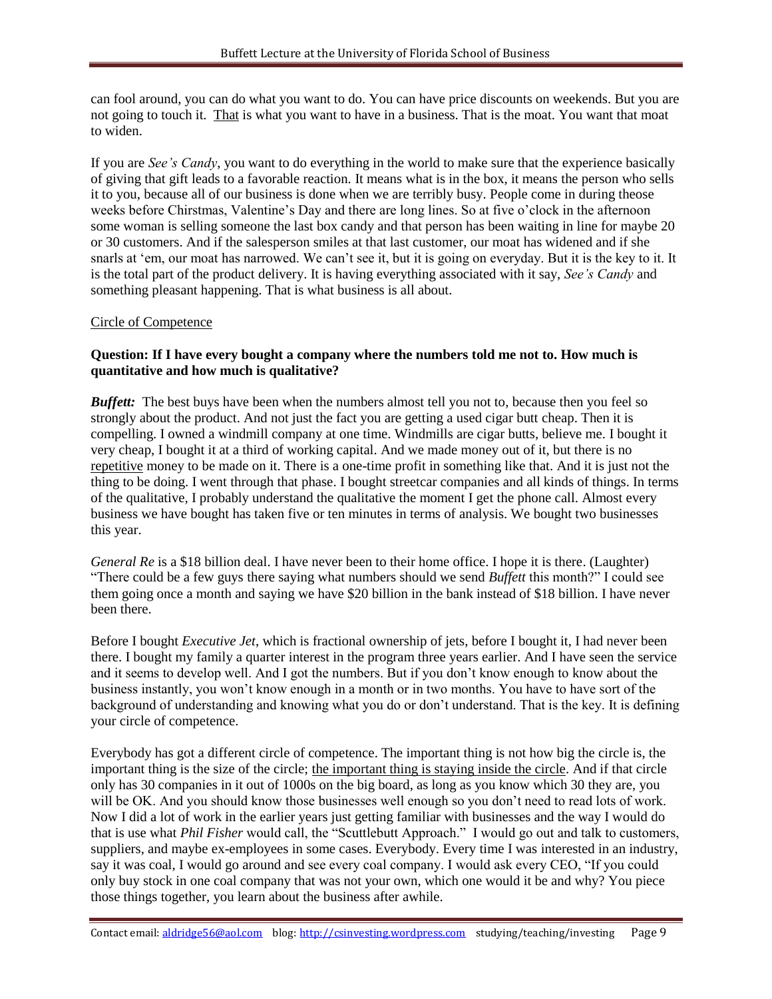can fool around, you can do what you want to do. You can have price discounts on weekends. But you are not going to touch it. That is what you want to have in a business. That is the moat. You want that moat to widen.

If you are *See's Candy*, you want to do everything in the world to make sure that the experience basically of giving that gift leads to a favorable reaction. It means what is in the box, it means the person who sells it to you, because all of our business is done when we are terribly busy. People come in during theose weeks before Chirstmas, Valentine's Day and there are long lines. So at five o'clock in the afternoon some woman is selling someone the last box candy and that person has been waiting in line for maybe 20 or 30 customers. And if the salesperson smiles at that last customer, our moat has widened and if she snarls at 'em, our moat has narrowed. We can't see it, but it is going on everyday. But it is the key to it. It is the total part of the product delivery. It is having everything associated with it say, *See's Candy* and something pleasant happening. That is what business is all about.

#### Circle of Competence

#### **Question: If I have every bought a company where the numbers told me not to. How much is quantitative and how much is qualitative?**

*Buffett:* The best buys have been when the numbers almost tell you not to, because then you feel so strongly about the product. And not just the fact you are getting a used cigar butt cheap. Then it is compelling. I owned a windmill company at one time. Windmills are cigar butts, believe me. I bought it very cheap, I bought it at a third of working capital. And we made money out of it, but there is no repetitive money to be made on it. There is a one-time profit in something like that. And it is just not the thing to be doing. I went through that phase. I bought streetcar companies and all kinds of things. In terms of the qualitative, I probably understand the qualitative the moment I get the phone call. Almost every business we have bought has taken five or ten minutes in terms of analysis. We bought two businesses this year.

*General Re* is a \$18 billion deal. I have never been to their home office. I hope it is there. (Laughter) ―There could be a few guys there saying what numbers should we send *Buffett* this month?‖ I could see them going once a month and saying we have \$20 billion in the bank instead of \$18 billion. I have never been there.

Before I bought *Executive Jet*, which is fractional ownership of jets, before I bought it, I had never been there. I bought my family a quarter interest in the program three years earlier. And I have seen the service and it seems to develop well. And I got the numbers. But if you don't know enough to know about the business instantly, you won't know enough in a month or in two months. You have to have sort of the background of understanding and knowing what you do or don't understand. That is the key. It is defining your circle of competence.

Everybody has got a different circle of competence. The important thing is not how big the circle is, the important thing is the size of the circle; the important thing is staying inside the circle. And if that circle only has 30 companies in it out of 1000s on the big board, as long as you know which 30 they are, you will be OK. And you should know those businesses well enough so you don't need to read lots of work. Now I did a lot of work in the earlier years just getting familiar with businesses and the way I would do that is use what *Phil Fisher* would call, the "Scuttlebutt Approach." I would go out and talk to customers, suppliers, and maybe ex-employees in some cases. Everybody. Every time I was interested in an industry, say it was coal, I would go around and see every coal company. I would ask every CEO, "If you could only buy stock in one coal company that was not your own, which one would it be and why? You piece those things together, you learn about the business after awhile.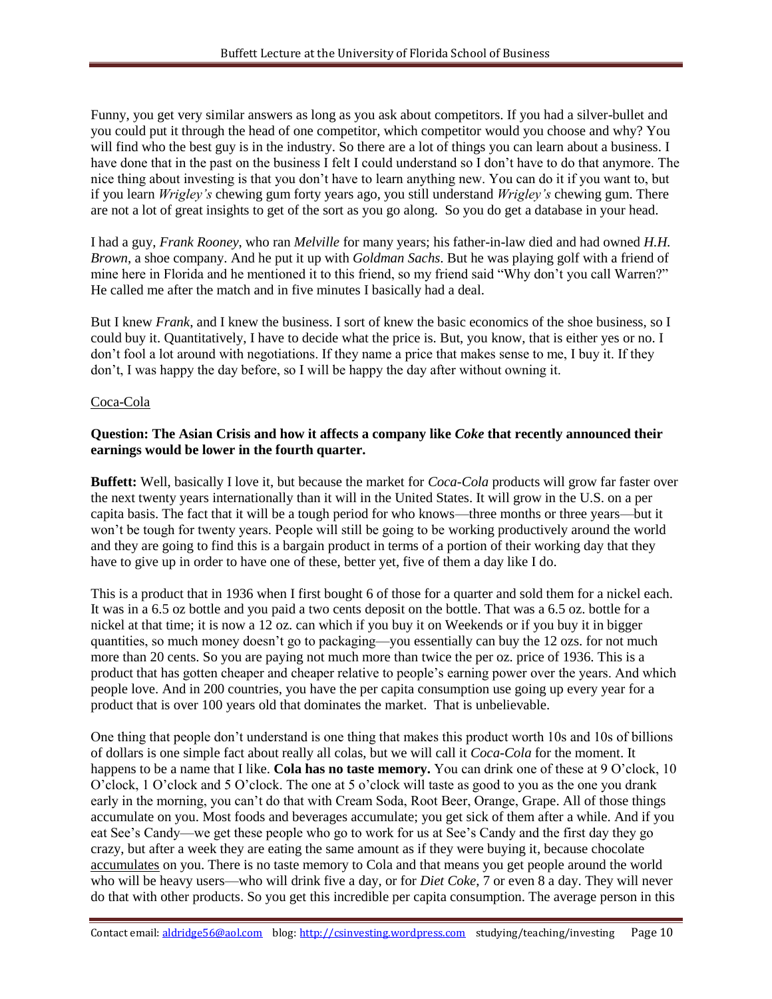Funny, you get very similar answers as long as you ask about competitors. If you had a silver-bullet and you could put it through the head of one competitor, which competitor would you choose and why? You will find who the best guy is in the industry. So there are a lot of things you can learn about a business. I have done that in the past on the business I felt I could understand so I don't have to do that anymore. The nice thing about investing is that you don't have to learn anything new. You can do it if you want to, but if you learn *Wrigley's* chewing gum forty years ago, you still understand *Wrigley's* chewing gum. There are not a lot of great insights to get of the sort as you go along. So you do get a database in your head.

I had a guy, *Frank Rooney*, who ran *Melville* for many years; his father-in-law died and had owned *H.H. Brown*, a shoe company. And he put it up with *Goldman Sachs*. But he was playing golf with a friend of mine here in Florida and he mentioned it to this friend, so my friend said "Why don't you call Warren?" He called me after the match and in five minutes I basically had a deal.

But I knew *Frank*, and I knew the business. I sort of knew the basic economics of the shoe business, so I could buy it. Quantitatively, I have to decide what the price is. But, you know, that is either yes or no. I don't fool a lot around with negotiations. If they name a price that makes sense to me, I buy it. If they don't, I was happy the day before, so I will be happy the day after without owning it.

#### Coca-Cola

### **Question: The Asian Crisis and how it affects a company like** *Coke* **that recently announced their earnings would be lower in the fourth quarter.**

**Buffett:** Well, basically I love it, but because the market for *Coca-Cola* products will grow far faster over the next twenty years internationally than it will in the United States. It will grow in the U.S. on a per capita basis. The fact that it will be a tough period for who knows—three months or three years—but it won't be tough for twenty years. People will still be going to be working productively around the world and they are going to find this is a bargain product in terms of a portion of their working day that they have to give up in order to have one of these, better yet, five of them a day like I do.

This is a product that in 1936 when I first bought 6 of those for a quarter and sold them for a nickel each. It was in a 6.5 oz bottle and you paid a two cents deposit on the bottle. That was a 6.5 oz. bottle for a nickel at that time; it is now a 12 oz. can which if you buy it on Weekends or if you buy it in bigger quantities, so much money doesn't go to packaging—you essentially can buy the 12 ozs. for not much more than 20 cents. So you are paying not much more than twice the per oz. price of 1936. This is a product that has gotten cheaper and cheaper relative to people's earning power over the years. And which people love. And in 200 countries, you have the per capita consumption use going up every year for a product that is over 100 years old that dominates the market. That is unbelievable.

One thing that people don't understand is one thing that makes this product worth 10s and 10s of billions of dollars is one simple fact about really all colas, but we will call it *Coca-Cola* for the moment. It happens to be a name that I like. **Cola has no taste memory.** You can drink one of these at 9 O'clock, 10 O'clock, 1 O'clock and 5 O'clock. The one at 5 o'clock will taste as good to you as the one you drank early in the morning, you can't do that with Cream Soda, Root Beer, Orange, Grape. All of those things accumulate on you. Most foods and beverages accumulate; you get sick of them after a while. And if you eat See's Candy—we get these people who go to work for us at See's Candy and the first day they go crazy, but after a week they are eating the same amount as if they were buying it, because chocolate accumulates on you. There is no taste memory to Cola and that means you get people around the world who will be heavy users—who will drink five a day, or for *Diet Coke*, 7 or even 8 a day. They will never do that with other products. So you get this incredible per capita consumption. The average person in this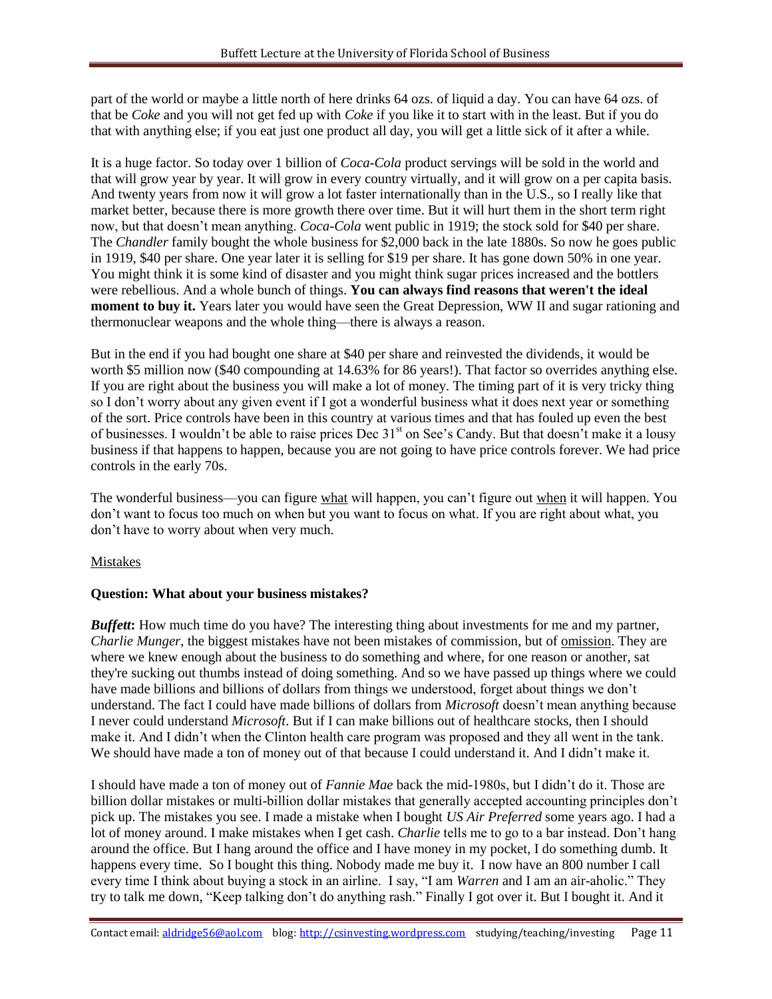part of the world or maybe a little north of here drinks 64 ozs. of liquid a day. You can have 64 ozs. of that be *Coke* and you will not get fed up with *Coke* if you like it to start with in the least. But if you do that with anything else; if you eat just one product all day, you will get a little sick of it after a while.

It is a huge factor. So today over 1 billion of *Coca-Cola* product servings will be sold in the world and that will grow year by year. It will grow in every country virtually, and it will grow on a per capita basis. And twenty years from now it will grow a lot faster internationally than in the U.S., so I really like that market better, because there is more growth there over time. But it will hurt them in the short term right now, but that doesn't mean anything. *Coca-Cola* went public in 1919; the stock sold for \$40 per share. The *Chandler* family bought the whole business for \$2,000 back in the late 1880s. So now he goes public in 1919, \$40 per share. One year later it is selling for \$19 per share. It has gone down 50% in one year. You might think it is some kind of disaster and you might think sugar prices increased and the bottlers were rebellious. And a whole bunch of things. **You can always find reasons that weren't the ideal moment to buy it.** Years later you would have seen the Great Depression, WW II and sugar rationing and thermonuclear weapons and the whole thing—there is always a reason.

But in the end if you had bought one share at \$40 per share and reinvested the dividends, it would be worth \$5 million now (\$40 compounding at 14.63% for 86 years!). That factor so overrides anything else. If you are right about the business you will make a lot of money. The timing part of it is very tricky thing so I don't worry about any given event if I got a wonderful business what it does next year or something of the sort. Price controls have been in this country at various times and that has fouled up even the best of businesses. I wouldn't be able to raise prices Dec 31<sup>st</sup> on See's Candy. But that doesn't make it a lousy business if that happens to happen, because you are not going to have price controls forever. We had price controls in the early 70s.

The wonderful business—you can figure what will happen, you can't figure out when it will happen. You don't want to focus too much on when but you want to focus on what. If you are right about what, you don't have to worry about when very much.

# Mistakes

#### **Question: What about your business mistakes?**

*Buffett*: How much time do you have? The interesting thing about investments for me and my partner, *Charlie Munger*, the biggest mistakes have not been mistakes of commission, but of omission. They are where we knew enough about the business to do something and where, for one reason or another, sat they're sucking out thumbs instead of doing something. And so we have passed up things where we could have made billions and billions of dollars from things we understood, forget about things we don't understand. The fact I could have made billions of dollars from *Microsoft* doesn't mean anything because I never could understand *Microsoft*. But if I can make billions out of healthcare stocks, then I should make it. And I didn't when the Clinton health care program was proposed and they all went in the tank. We should have made a ton of money out of that because I could understand it. And I didn't make it.

I should have made a ton of money out of *Fannie Mae* back the mid-1980s, but I didn't do it. Those are billion dollar mistakes or multi-billion dollar mistakes that generally accepted accounting principles don't pick up. The mistakes you see. I made a mistake when I bought *US Air Preferred* some years ago. I had a lot of money around. I make mistakes when I get cash. *Charlie* tells me to go to a bar instead. Don't hang around the office. But I hang around the office and I have money in my pocket, I do something dumb. It happens every time. So I bought this thing. Nobody made me buy it. I now have an 800 number I call every time I think about buying a stock in an airline. I say, "I am *Warren* and I am an air-aholic." They try to talk me down, "Keep talking don't do anything rash." Finally I got over it. But I bought it. And it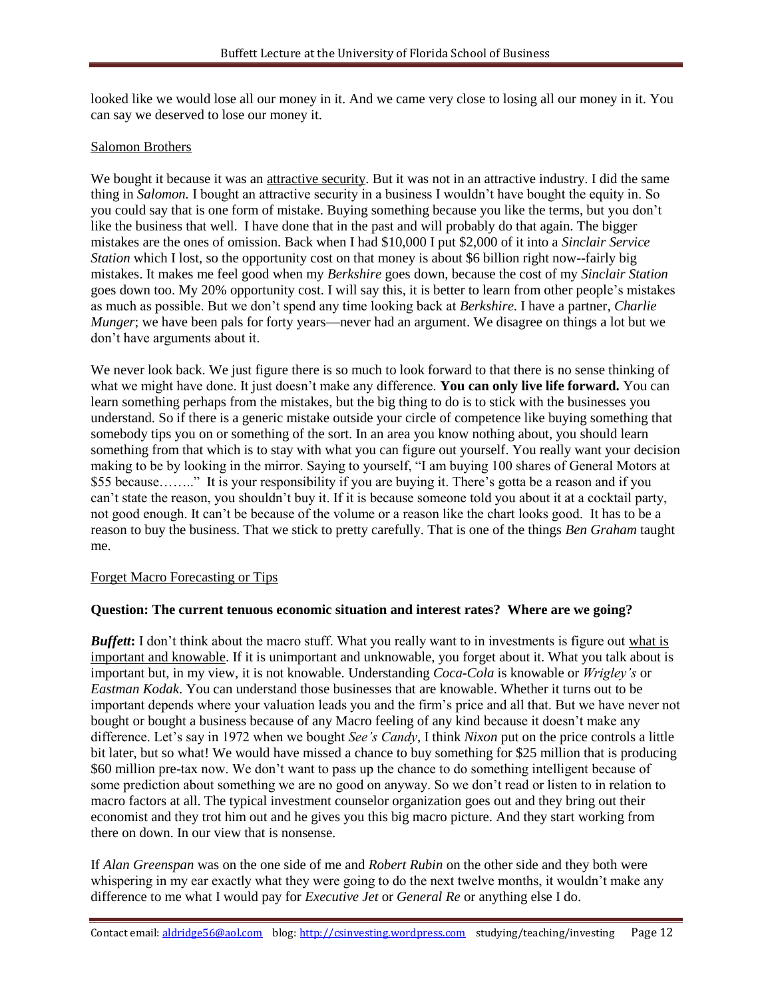looked like we would lose all our money in it. And we came very close to losing all our money in it. You can say we deserved to lose our money it.

#### Salomon Brothers

We bought it because it was an attractive security. But it was not in an attractive industry. I did the same thing in *Salomon.* I bought an attractive security in a business I wouldn't have bought the equity in. So you could say that is one form of mistake. Buying something because you like the terms, but you don't like the business that well. I have done that in the past and will probably do that again. The bigger mistakes are the ones of omission. Back when I had \$10,000 I put \$2,000 of it into a *Sinclair Service Station* which I lost, so the opportunity cost on that money is about \$6 billion right now-fairly big mistakes. It makes me feel good when my *Berkshire* goes down, because the cost of my *Sinclair Station* goes down too. My 20% opportunity cost. I will say this, it is better to learn from other people's mistakes as much as possible. But we don't spend any time looking back at *Berkshire*. I have a partner, *Charlie Munger*; we have been pals for forty years—never had an argument. We disagree on things a lot but we don't have arguments about it.

We never look back. We just figure there is so much to look forward to that there is no sense thinking of what we might have done. It just doesn't make any difference. **You can only live life forward.** You can learn something perhaps from the mistakes, but the big thing to do is to stick with the businesses you understand. So if there is a generic mistake outside your circle of competence like buying something that somebody tips you on or something of the sort. In an area you know nothing about, you should learn something from that which is to stay with what you can figure out yourself. You really want your decision making to be by looking in the mirror. Saying to yourself, "I am buying 100 shares of General Motors at \$55 because…….." It is your responsibility if you are buying it. There's gotta be a reason and if you can't state the reason, you shouldn't buy it. If it is because someone told you about it at a cocktail party, not good enough. It can't be because of the volume or a reason like the chart looks good. It has to be a reason to buy the business. That we stick to pretty carefully. That is one of the things *Ben Graham* taught me.

#### Forget Macro Forecasting or Tips

#### **Question: The current tenuous economic situation and interest rates? Where are we going?**

*Buffett*: I don't think about the macro stuff. What you really want to in investments is figure out what is important and knowable. If it is unimportant and unknowable, you forget about it. What you talk about is important but, in my view, it is not knowable. Understanding *Coca-Cola* is knowable or *Wrigley's* or *Eastman Kodak*. You can understand those businesses that are knowable. Whether it turns out to be important depends where your valuation leads you and the firm's price and all that. But we have never not bought or bought a business because of any Macro feeling of any kind because it doesn't make any difference. Let's say in 1972 when we bought *See's Candy*, I think *Nixon* put on the price controls a little bit later, but so what! We would have missed a chance to buy something for \$25 million that is producing \$60 million pre-tax now. We don't want to pass up the chance to do something intelligent because of some prediction about something we are no good on anyway. So we don't read or listen to in relation to macro factors at all. The typical investment counselor organization goes out and they bring out their economist and they trot him out and he gives you this big macro picture. And they start working from there on down. In our view that is nonsense.

If *Alan Greenspan* was on the one side of me and *Robert Rubin* on the other side and they both were whispering in my ear exactly what they were going to do the next twelve months, it wouldn't make any difference to me what I would pay for *Executive Jet* or *General Re* or anything else I do.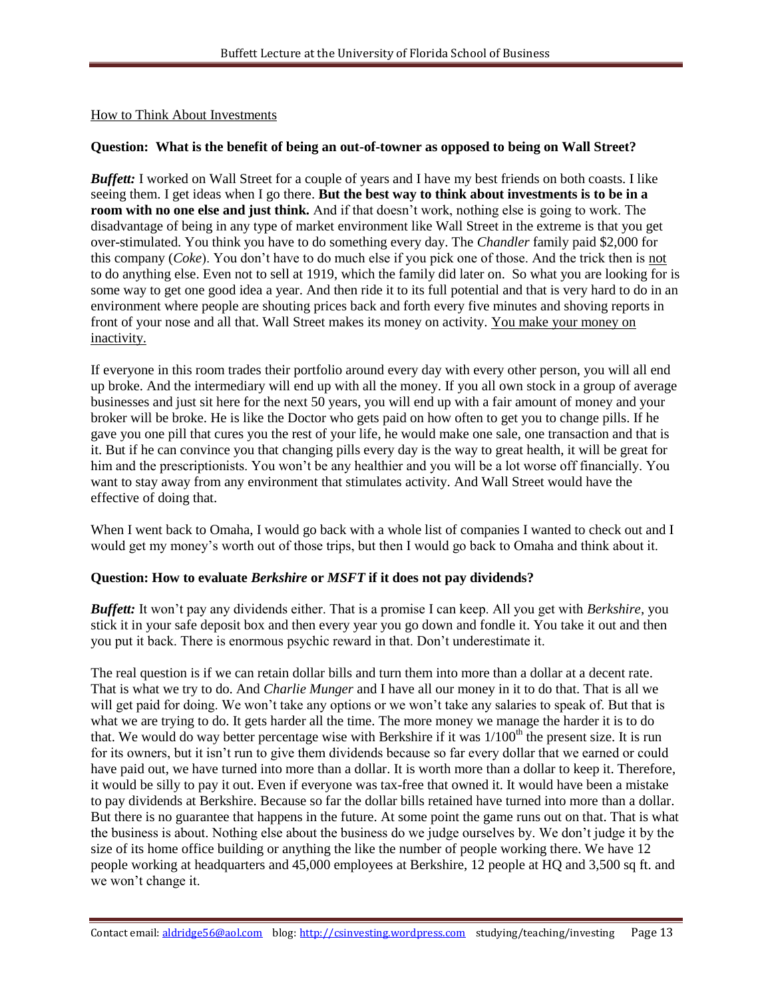### How to Think About Investments

### **Question: What is the benefit of being an out-of-towner as opposed to being on Wall Street?**

*Buffett:* I worked on Wall Street for a couple of years and I have my best friends on both coasts. I like seeing them. I get ideas when I go there. **But the best way to think about investments is to be in a room with no one else and just think.** And if that doesn't work, nothing else is going to work. The disadvantage of being in any type of market environment like Wall Street in the extreme is that you get over-stimulated. You think you have to do something every day. The *Chandler* family paid \$2,000 for this company (*Coke*). You don't have to do much else if you pick one of those. And the trick then is not to do anything else. Even not to sell at 1919, which the family did later on. So what you are looking for is some way to get one good idea a year. And then ride it to its full potential and that is very hard to do in an environment where people are shouting prices back and forth every five minutes and shoving reports in front of your nose and all that. Wall Street makes its money on activity. You make your money on inactivity.

If everyone in this room trades their portfolio around every day with every other person, you will all end up broke. And the intermediary will end up with all the money. If you all own stock in a group of average businesses and just sit here for the next 50 years, you will end up with a fair amount of money and your broker will be broke. He is like the Doctor who gets paid on how often to get you to change pills. If he gave you one pill that cures you the rest of your life, he would make one sale, one transaction and that is it. But if he can convince you that changing pills every day is the way to great health, it will be great for him and the prescriptionists. You won't be any healthier and you will be a lot worse off financially. You want to stay away from any environment that stimulates activity. And Wall Street would have the effective of doing that.

When I went back to Omaha, I would go back with a whole list of companies I wanted to check out and I would get my money's worth out of those trips, but then I would go back to Omaha and think about it.

#### **Question: How to evaluate** *Berkshire* **or** *MSFT* **if it does not pay dividends?**

*Buffett:* It won't pay any dividends either. That is a promise I can keep. All you get with *Berkshire*, you stick it in your safe deposit box and then every year you go down and fondle it. You take it out and then you put it back. There is enormous psychic reward in that. Don't underestimate it.

The real question is if we can retain dollar bills and turn them into more than a dollar at a decent rate. That is what we try to do. And *Charlie Munger* and I have all our money in it to do that. That is all we will get paid for doing. We won't take any options or we won't take any salaries to speak of. But that is what we are trying to do. It gets harder all the time. The more money we manage the harder it is to do that. We would do way better percentage wise with Berkshire if it was  $1/100<sup>th</sup>$  the present size. It is run for its owners, but it isn't run to give them dividends because so far every dollar that we earned or could have paid out, we have turned into more than a dollar. It is worth more than a dollar to keep it. Therefore, it would be silly to pay it out. Even if everyone was tax-free that owned it. It would have been a mistake to pay dividends at Berkshire. Because so far the dollar bills retained have turned into more than a dollar. But there is no guarantee that happens in the future. At some point the game runs out on that. That is what the business is about. Nothing else about the business do we judge ourselves by. We don't judge it by the size of its home office building or anything the like the number of people working there. We have 12 people working at headquarters and 45,000 employees at Berkshire, 12 people at HQ and 3,500 sq ft. and we won't change it.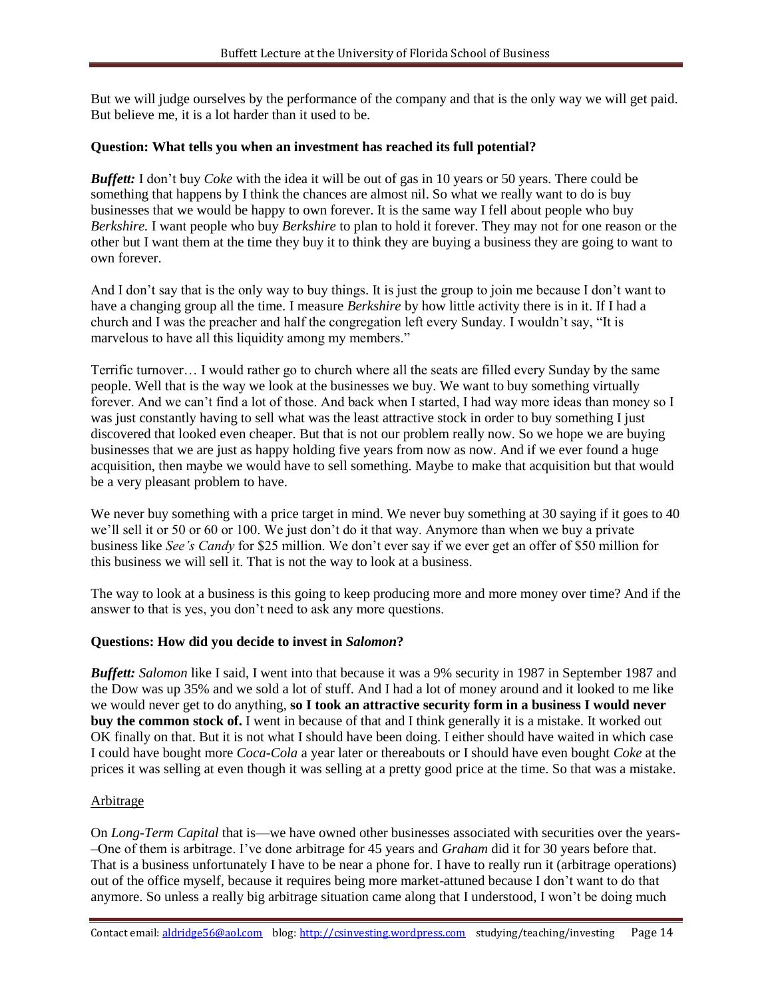But we will judge ourselves by the performance of the company and that is the only way we will get paid. But believe me, it is a lot harder than it used to be.

#### **Question: What tells you when an investment has reached its full potential?**

*Buffett:* I don't buy *Coke* with the idea it will be out of gas in 10 years or 50 years. There could be something that happens by I think the chances are almost nil. So what we really want to do is buy businesses that we would be happy to own forever. It is the same way I fell about people who buy *Berkshire.* I want people who buy *Berkshire* to plan to hold it forever. They may not for one reason or the other but I want them at the time they buy it to think they are buying a business they are going to want to own forever.

And I don't say that is the only way to buy things. It is just the group to join me because I don't want to have a changing group all the time. I measure *Berkshire* by how little activity there is in it. If I had a church and I was the preacher and half the congregation left every Sunday. I wouldn't say, "It is marvelous to have all this liquidity among my members."

Terrific turnover… I would rather go to church where all the seats are filled every Sunday by the same people. Well that is the way we look at the businesses we buy. We want to buy something virtually forever. And we can't find a lot of those. And back when I started, I had way more ideas than money so I was just constantly having to sell what was the least attractive stock in order to buy something I just discovered that looked even cheaper. But that is not our problem really now. So we hope we are buying businesses that we are just as happy holding five years from now as now. And if we ever found a huge acquisition, then maybe we would have to sell something. Maybe to make that acquisition but that would be a very pleasant problem to have.

We never buy something with a price target in mind. We never buy something at 30 saying if it goes to 40 we'll sell it or 50 or 60 or 100. We just don't do it that way. Anymore than when we buy a private business like *See's Candy* for \$25 million. We don't ever say if we ever get an offer of \$50 million for this business we will sell it. That is not the way to look at a business.

The way to look at a business is this going to keep producing more and more money over time? And if the answer to that is yes, you don't need to ask any more questions.

#### **Questions: How did you decide to invest in** *Salomon***?**

*Buffett: Salomon* like I said, I went into that because it was a 9% security in 1987 in September 1987 and the Dow was up 35% and we sold a lot of stuff. And I had a lot of money around and it looked to me like we would never get to do anything, **so I took an attractive security form in a business I would never buy the common stock of.** I went in because of that and I think generally it is a mistake. It worked out OK finally on that. But it is not what I should have been doing. I either should have waited in which case I could have bought more *Coca-Cola* a year later or thereabouts or I should have even bought *Coke* at the prices it was selling at even though it was selling at a pretty good price at the time. So that was a mistake.

#### Arbitrage

On *Long-Term Capital* that is—we have owned other businesses associated with securities over the years- –One of them is arbitrage. I've done arbitrage for 45 years and *Graham* did it for 30 years before that. That is a business unfortunately I have to be near a phone for. I have to really run it (arbitrage operations) out of the office myself, because it requires being more market-attuned because I don't want to do that anymore. So unless a really big arbitrage situation came along that I understood, I won't be doing much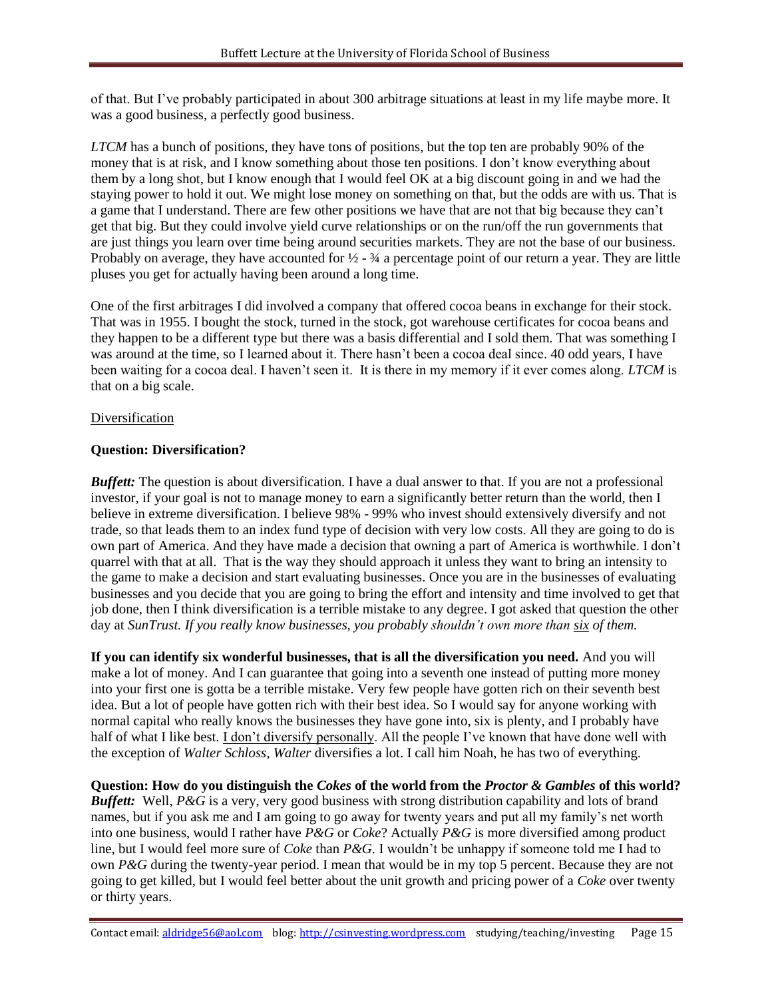of that. But I've probably participated in about 300 arbitrage situations at least in my life maybe more. It was a good business, a perfectly good business.

*LTCM* has a bunch of positions, they have tons of positions, but the top ten are probably 90% of the money that is at risk, and I know something about those ten positions. I don't know everything about them by a long shot, but I know enough that I would feel OK at a big discount going in and we had the staying power to hold it out. We might lose money on something on that, but the odds are with us. That is a game that I understand. There are few other positions we have that are not that big because they can't get that big. But they could involve yield curve relationships or on the run/off the run governments that are just things you learn over time being around securities markets. They are not the base of our business. Probably on average, they have accounted for  $\frac{1}{2}$  -  $\frac{3}{4}$  a percentage point of our return a year. They are little pluses you get for actually having been around a long time.

One of the first arbitrages I did involved a company that offered cocoa beans in exchange for their stock. That was in 1955. I bought the stock, turned in the stock, got warehouse certificates for cocoa beans and they happen to be a different type but there was a basis differential and I sold them. That was something I was around at the time, so I learned about it. There hasn't been a cocoa deal since. 40 odd years, I have been waiting for a cocoa deal. I haven't seen it. It is there in my memory if it ever comes along. *LTCM* is that on a big scale.

#### Diversification

#### **Question: Diversification?**

*Buffett:* The question is about diversification. I have a dual answer to that. If you are not a professional investor, if your goal is not to manage money to earn a significantly better return than the world, then I believe in extreme diversification. I believe 98% - 99% who invest should extensively diversify and not trade, so that leads them to an index fund type of decision with very low costs. All they are going to do is own part of America. And they have made a decision that owning a part of America is worthwhile. I don't quarrel with that at all. That is the way they should approach it unless they want to bring an intensity to the game to make a decision and start evaluating businesses. Once you are in the businesses of evaluating businesses and you decide that you are going to bring the effort and intensity and time involved to get that job done, then I think diversification is a terrible mistake to any degree. I got asked that question the other day at *SunTrust. If you really know businesses, you probably shouldn't own more than six of them.* 

**If you can identify six wonderful businesses, that is all the diversification you need.** And you will make a lot of money. And I can guarantee that going into a seventh one instead of putting more money into your first one is gotta be a terrible mistake. Very few people have gotten rich on their seventh best idea. But a lot of people have gotten rich with their best idea. So I would say for anyone working with normal capital who really knows the businesses they have gone into, six is plenty, and I probably have half of what I like best. I don't diversify personally. All the people I've known that have done well with the exception of *Walter Schloss*, *Walter* diversifies a lot. I call him Noah, he has two of everything.

**Question: How do you distinguish the** *Cokes* **of the world from the** *Proctor & Gambles* **of this world?** *Buffett:* Well, *P&G* is a very, very good business with strong distribution capability and lots of brand names, but if you ask me and I am going to go away for twenty years and put all my family's net worth into one business, would I rather have *P&G* or *Coke*? Actually *P&G* is more diversified among product line, but I would feel more sure of *Coke* than *P&G*. I wouldn't be unhappy if someone told me I had to own *P&G* during the twenty-year period. I mean that would be in my top 5 percent. Because they are not going to get killed, but I would feel better about the unit growth and pricing power of a *Coke* over twenty or thirty years.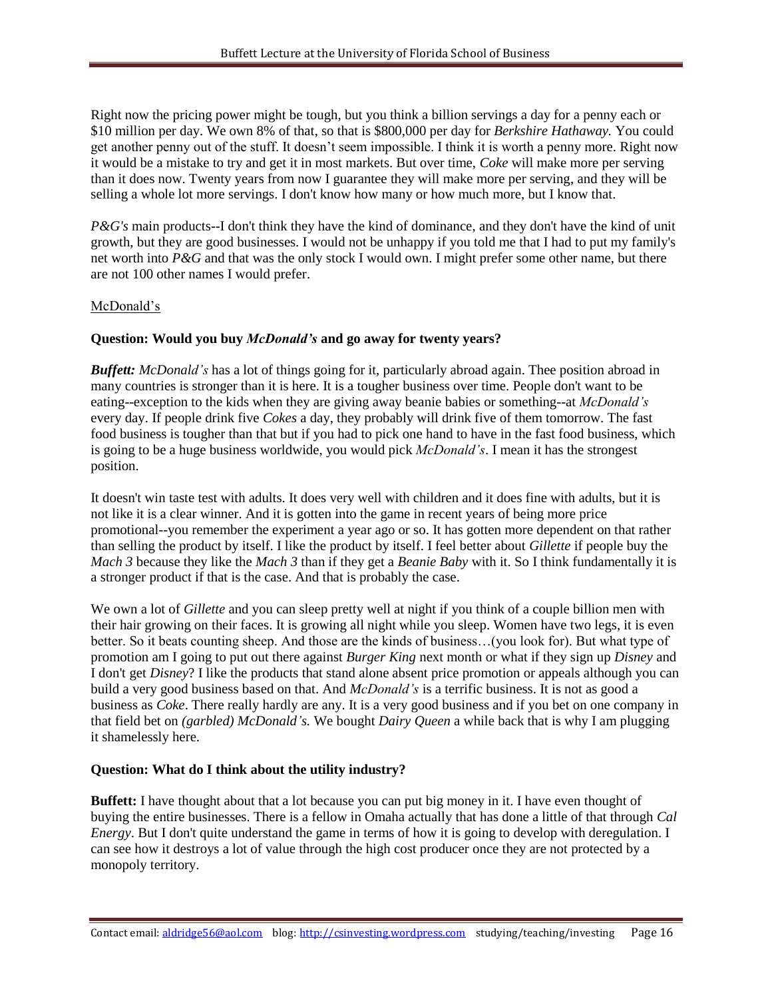Right now the pricing power might be tough, but you think a billion servings a day for a penny each or \$10 million per day. We own 8% of that, so that is \$800,000 per day for *Berkshire Hathaway.* You could get another penny out of the stuff. It doesn't seem impossible. I think it is worth a penny more. Right now it would be a mistake to try and get it in most markets. But over time, *Coke* will make more per serving than it does now. Twenty years from now I guarantee they will make more per serving, and they will be selling a whole lot more servings. I don't know how many or how much more, but I know that.

*P&G's* main products--I don't think they have the kind of dominance, and they don't have the kind of unit growth, but they are good businesses. I would not be unhappy if you told me that I had to put my family's net worth into *P&G* and that was the only stock I would own. I might prefer some other name, but there are not 100 other names I would prefer.

#### McDonald's

### **Question: Would you buy** *McDonald's* **and go away for twenty years?**

*Buffett: McDonald's* has a lot of things going for it, particularly abroad again. Thee position abroad in many countries is stronger than it is here. It is a tougher business over time. People don't want to be eating--exception to the kids when they are giving away beanie babies or something--at *McDonald's* every day. If people drink five *Cokes* a day, they probably will drink five of them tomorrow. The fast food business is tougher than that but if you had to pick one hand to have in the fast food business, which is going to be a huge business worldwide, you would pick *McDonald's*. I mean it has the strongest position.

It doesn't win taste test with adults. It does very well with children and it does fine with adults, but it is not like it is a clear winner. And it is gotten into the game in recent years of being more price promotional--you remember the experiment a year ago or so. It has gotten more dependent on that rather than selling the product by itself. I like the product by itself. I feel better about *Gillette* if people buy the *Mach 3* because they like the *Mach 3* than if they get a *Beanie Baby* with it. So I think fundamentally it is a stronger product if that is the case. And that is probably the case.

We own a lot of *Gillette* and you can sleep pretty well at night if you think of a couple billion men with their hair growing on their faces. It is growing all night while you sleep. Women have two legs, it is even better. So it beats counting sheep. And those are the kinds of business…(you look for). But what type of promotion am I going to put out there against *Burger King* next month or what if they sign up *Disney* and I don't get *Disney*? I like the products that stand alone absent price promotion or appeals although you can build a very good business based on that. And *McDonald's* is a terrific business. It is not as good a business as *Coke*. There really hardly are any. It is a very good business and if you bet on one company in that field bet on *(garbled) McDonald's.* We bought *Dairy Queen* a while back that is why I am plugging it shamelessly here.

#### **Question: What do I think about the utility industry?**

**Buffett:** I have thought about that a lot because you can put big money in it. I have even thought of buying the entire businesses. There is a fellow in Omaha actually that has done a little of that through *Cal Energy*. But I don't quite understand the game in terms of how it is going to develop with deregulation. I can see how it destroys a lot of value through the high cost producer once they are not protected by a monopoly territory.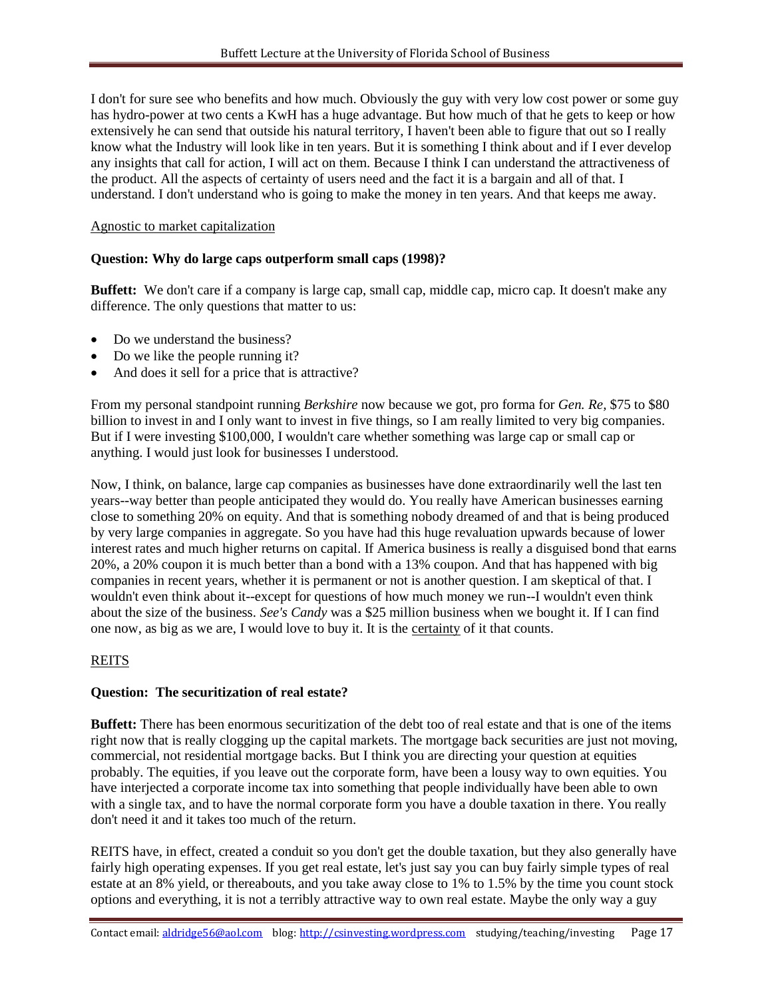I don't for sure see who benefits and how much. Obviously the guy with very low cost power or some guy has hydro-power at two cents a KwH has a huge advantage. But how much of that he gets to keep or how extensively he can send that outside his natural territory, I haven't been able to figure that out so I really know what the Industry will look like in ten years. But it is something I think about and if I ever develop any insights that call for action, I will act on them. Because I think I can understand the attractiveness of the product. All the aspects of certainty of users need and the fact it is a bargain and all of that. I understand. I don't understand who is going to make the money in ten years. And that keeps me away.

#### Agnostic to market capitalization

#### **Question: Why do large caps outperform small caps (1998)?**

Buffett: We don't care if a company is large cap, small cap, middle cap, micro cap. It doesn't make any difference. The only questions that matter to us:

- Do we understand the business?
- Do we like the people running it?
- And does it sell for a price that is attractive?

From my personal standpoint running *Berkshire* now because we got, pro forma for *Gen. Re,* \$75 to \$80 billion to invest in and I only want to invest in five things, so I am really limited to very big companies. But if I were investing \$100,000, I wouldn't care whether something was large cap or small cap or anything. I would just look for businesses I understood.

Now, I think, on balance, large cap companies as businesses have done extraordinarily well the last ten years--way better than people anticipated they would do. You really have American businesses earning close to something 20% on equity. And that is something nobody dreamed of and that is being produced by very large companies in aggregate. So you have had this huge revaluation upwards because of lower interest rates and much higher returns on capital. If America business is really a disguised bond that earns 20%, a 20% coupon it is much better than a bond with a 13% coupon. And that has happened with big companies in recent years, whether it is permanent or not is another question. I am skeptical of that. I wouldn't even think about it--except for questions of how much money we run--I wouldn't even think about the size of the business. *See's Candy* was a \$25 million business when we bought it. If I can find one now, as big as we are, I would love to buy it. It is the certainty of it that counts.

#### **REITS**

#### **Question: The securitization of real estate?**

**Buffett:** There has been enormous securitization of the debt too of real estate and that is one of the items right now that is really clogging up the capital markets. The mortgage back securities are just not moving, commercial, not residential mortgage backs. But I think you are directing your question at equities probably. The equities, if you leave out the corporate form, have been a lousy way to own equities. You have interjected a corporate income tax into something that people individually have been able to own with a single tax, and to have the normal corporate form you have a double taxation in there. You really don't need it and it takes too much of the return.

REITS have, in effect, created a conduit so you don't get the double taxation, but they also generally have fairly high operating expenses. If you get real estate, let's just say you can buy fairly simple types of real estate at an 8% yield, or thereabouts, and you take away close to 1% to 1.5% by the time you count stock options and everything, it is not a terribly attractive way to own real estate. Maybe the only way a guy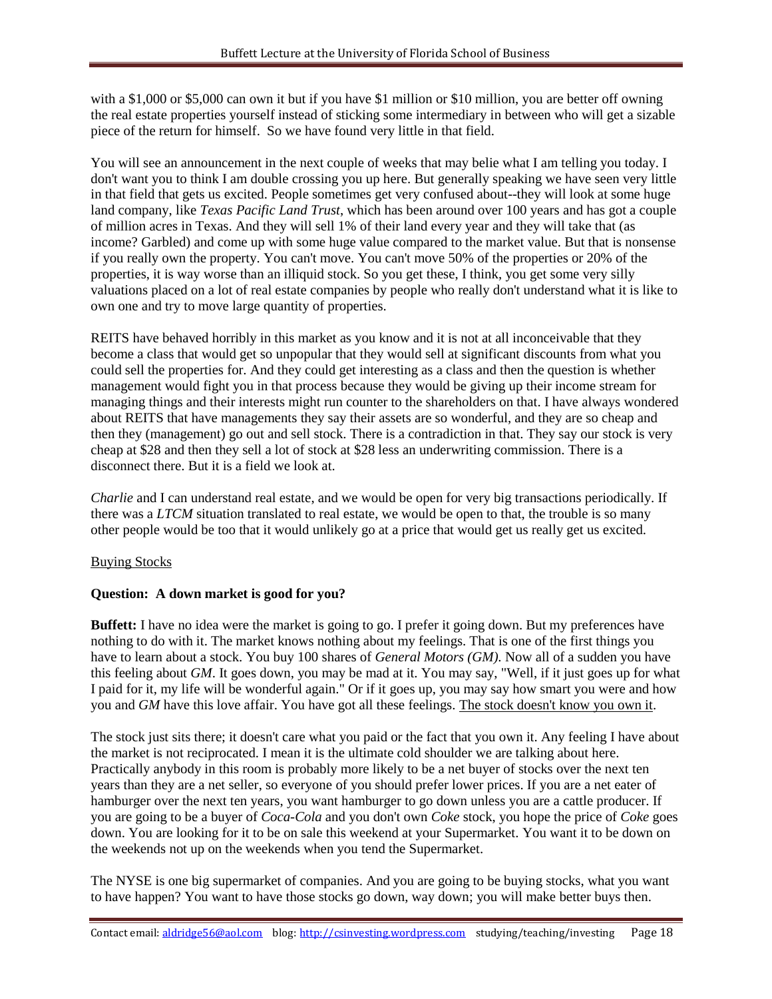with a \$1,000 or \$5,000 can own it but if you have \$1 million or \$10 million, you are better off owning the real estate properties yourself instead of sticking some intermediary in between who will get a sizable piece of the return for himself. So we have found very little in that field.

You will see an announcement in the next couple of weeks that may belie what I am telling you today. I don't want you to think I am double crossing you up here. But generally speaking we have seen very little in that field that gets us excited. People sometimes get very confused about--they will look at some huge land company, like *Texas Pacific Land Trust*, which has been around over 100 years and has got a couple of million acres in Texas. And they will sell 1% of their land every year and they will take that (as income? Garbled) and come up with some huge value compared to the market value. But that is nonsense if you really own the property. You can't move. You can't move 50% of the properties or 20% of the properties, it is way worse than an illiquid stock. So you get these, I think, you get some very silly valuations placed on a lot of real estate companies by people who really don't understand what it is like to own one and try to move large quantity of properties.

REITS have behaved horribly in this market as you know and it is not at all inconceivable that they become a class that would get so unpopular that they would sell at significant discounts from what you could sell the properties for. And they could get interesting as a class and then the question is whether management would fight you in that process because they would be giving up their income stream for managing things and their interests might run counter to the shareholders on that. I have always wondered about REITS that have managements they say their assets are so wonderful, and they are so cheap and then they (management) go out and sell stock. There is a contradiction in that. They say our stock is very cheap at \$28 and then they sell a lot of stock at \$28 less an underwriting commission. There is a disconnect there. But it is a field we look at.

*Charlie* and I can understand real estate, and we would be open for very big transactions periodically. If there was a *LTCM* situation translated to real estate, we would be open to that, the trouble is so many other people would be too that it would unlikely go at a price that would get us really get us excited.

# Buying Stocks

# **Question: A down market is good for you?**

**Buffett:** I have no idea were the market is going to go. I prefer it going down. But my preferences have nothing to do with it. The market knows nothing about my feelings. That is one of the first things you have to learn about a stock. You buy 100 shares of *General Motors (GM).* Now all of a sudden you have this feeling about *GM*. It goes down, you may be mad at it. You may say, "Well, if it just goes up for what I paid for it, my life will be wonderful again." Or if it goes up, you may say how smart you were and how you and *GM* have this love affair. You have got all these feelings. The stock doesn't know you own it.

The stock just sits there; it doesn't care what you paid or the fact that you own it. Any feeling I have about the market is not reciprocated. I mean it is the ultimate cold shoulder we are talking about here. Practically anybody in this room is probably more likely to be a net buyer of stocks over the next ten years than they are a net seller, so everyone of you should prefer lower prices. If you are a net eater of hamburger over the next ten years, you want hamburger to go down unless you are a cattle producer. If you are going to be a buyer of *Coca-Cola* and you don't own *Coke* stock, you hope the price of *Coke* goes down. You are looking for it to be on sale this weekend at your Supermarket. You want it to be down on the weekends not up on the weekends when you tend the Supermarket.

The NYSE is one big supermarket of companies. And you are going to be buying stocks, what you want to have happen? You want to have those stocks go down, way down; you will make better buys then.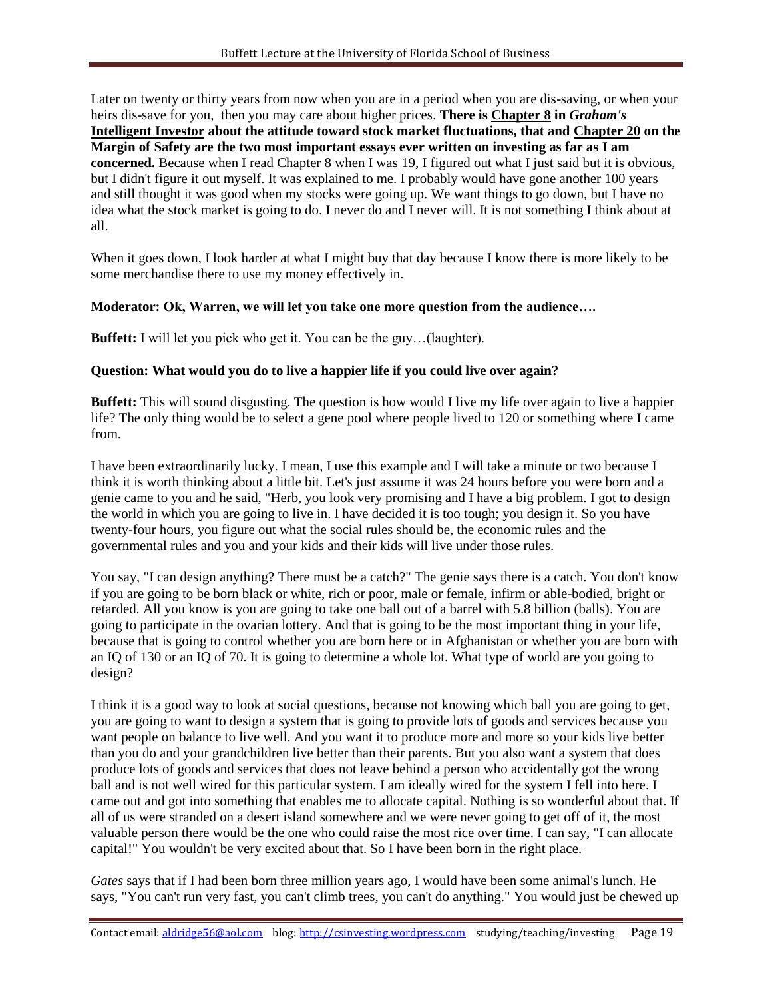Later on twenty or thirty years from now when you are in a period when you are dis-saving, or when your heirs dis-save for you, then you may care about higher prices. **There is Chapter 8 in** *Graham's* **Intelligent Investor about the attitude toward stock market fluctuations, that and Chapter 20 on the Margin of Safety are the two most important essays ever written on investing as far as I am concerned.** Because when I read Chapter 8 when I was 19, I figured out what I just said but it is obvious, but I didn't figure it out myself. It was explained to me. I probably would have gone another 100 years and still thought it was good when my stocks were going up. We want things to go down, but I have no idea what the stock market is going to do. I never do and I never will. It is not something I think about at all.

When it goes down, I look harder at what I might buy that day because I know there is more likely to be some merchandise there to use my money effectively in.

#### **Moderator: Ok, Warren, we will let you take one more question from the audience….**

**Buffett:** I will let you pick who get it. You can be the guy…(laughter).

#### **Question: What would you do to live a happier life if you could live over again?**

**Buffett:** This will sound disgusting. The question is how would I live my life over again to live a happier life? The only thing would be to select a gene pool where people lived to 120 or something where I came from.

I have been extraordinarily lucky. I mean, I use this example and I will take a minute or two because I think it is worth thinking about a little bit. Let's just assume it was 24 hours before you were born and a genie came to you and he said, "Herb, you look very promising and I have a big problem. I got to design the world in which you are going to live in. I have decided it is too tough; you design it. So you have twenty-four hours, you figure out what the social rules should be, the economic rules and the governmental rules and you and your kids and their kids will live under those rules.

You say, "I can design anything? There must be a catch?" The genie says there is a catch. You don't know if you are going to be born black or white, rich or poor, male or female, infirm or able-bodied, bright or retarded. All you know is you are going to take one ball out of a barrel with 5.8 billion (balls). You are going to participate in the ovarian lottery. And that is going to be the most important thing in your life, because that is going to control whether you are born here or in Afghanistan or whether you are born with an IQ of 130 or an IQ of 70. It is going to determine a whole lot. What type of world are you going to design?

I think it is a good way to look at social questions, because not knowing which ball you are going to get, you are going to want to design a system that is going to provide lots of goods and services because you want people on balance to live well. And you want it to produce more and more so your kids live better than you do and your grandchildren live better than their parents. But you also want a system that does produce lots of goods and services that does not leave behind a person who accidentally got the wrong ball and is not well wired for this particular system. I am ideally wired for the system I fell into here. I came out and got into something that enables me to allocate capital. Nothing is so wonderful about that. If all of us were stranded on a desert island somewhere and we were never going to get off of it, the most valuable person there would be the one who could raise the most rice over time. I can say, "I can allocate capital!" You wouldn't be very excited about that. So I have been born in the right place.

*Gates* says that if I had been born three million years ago, I would have been some animal's lunch. He says, "You can't run very fast, you can't climb trees, you can't do anything." You would just be chewed up